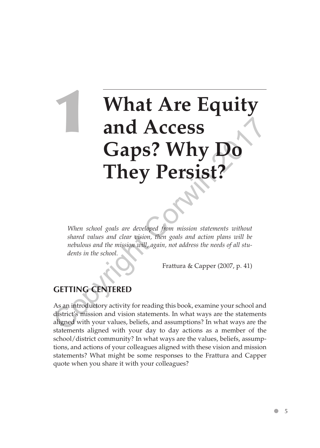# **What Are Equity and Access Gaps? Why Do They Persist? Caps? Why Do**<br> **Caps? Why Do**<br> **Chaps? Why Do**<br> **Chaps? Constantly 2018**<br>
When school goals are developed from mission statements without shared values and clear vision, then goals and action plans will be nebulous and

*When school goals are developed from mission statements without shared values and clear vision, then goals and action plans will be nebulous and the mission will, again, not address the needs of all students in the school.*

Frattura & Capper (2007, p. 41)

## **GETTING CENTERED**

As an introductory activity for reading this book, examine your school and district's mission and vision statements. In what ways are the statements aligned with your values, beliefs, and assumptions? In what ways are the statements aligned with your day to day actions as a member of the school/district community? In what ways are the values, beliefs, assumptions, and actions of your colleagues aligned with these vision and mission statements? What might be some responses to the Frattura and Capper quote when you share it with your colleagues?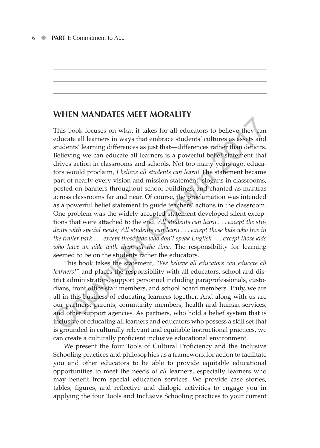### **WHEN MANDATES MEET MORALITY**

This book focuses on what it takes for all educators to believe they can educate all learners in ways that embrace students' cultures as assets and students' learning differences as just that—differences rather than deficits. Believing we can educate all learners is a powerful belief statement that drives action in classrooms and schools. Not too many years ago, educators would proclaim, *I believe all students can learn!* The statement became part of nearly every vision and mission statement, slogans in classrooms, posted on banners throughout school buildings, and chanted as mantras across classrooms far and near. Of course, the proclamation was intended as a powerful belief statement to guide teachers' actions in the classroom. One problem was the widely accepted statement developed silent exceptions that were attached to the end. *All students can learn . . . except the students with special needs; All students can learn . . . except those kids who live in the trailer park . . . except those kids who don't speak English . . . except those kids who have an aide with them all the time.* The responsibility for learning seemed to be on the students rather the educators. This book focuses on what it takes for all educators to believe they can<br>this book focuses on what it takes for all educators to believe they can<br>educate all learners in ways that embrace students' cultures as assets and<br>

This book takes the statement, "*We believe all educators can educate all learners!"* and places the responsibility with all educators, school and district administrators, support personnel including paraprofessionals, custodians, front office staff members, and school board members. Truly, we are all in this business of educating learners together. And along with us are our partners: parents, community members, health and human services, and other support agencies. As partners, who hold a belief system that is inclusive of educating all learners and educators who possess a skill set that is grounded in culturally relevant and equitable instructional practices, we can create a culturally proficient inclusive educational environment.

We present the four Tools of Cultural Proficiency and the Inclusive Schooling practices and philosophies as a framework for action to facilitate you and other educators to be able to provide equitable educational opportunities to meet the needs of *all* learners, especially learners who may benefit from special education services. We provide case stories, tables, figures, and reflective and dialogic activities to engage you in applying the four Tools and Inclusive Schooling practices to your current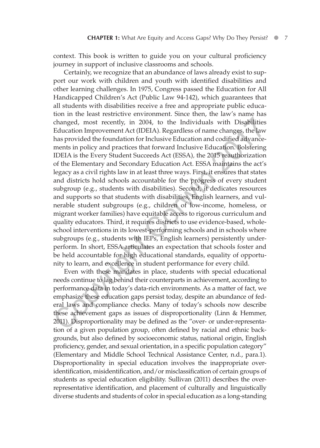context. This book is written to guide you on your cultural proficiency journey in support of inclusive classrooms and schools.

Certainly, we recognize that an abundance of laws already exist to support our work with children and youth with identified disabilities and other learning challenges. In 1975, Congress passed the Education for All Handicapped Children's Act (Public Law 94-142), which guarantees that all students with disabilities receive a free and appropriate public education in the least restrictive environment. Since then, the law's name has changed, most recently, in 2004, to the Individuals with Disabilities Education Improvement Act (IDEIA). Regardless of name changes, the law has provided the foundation for Inclusive Education and codified advancements in policy and practices that forward Inclusive Education. Bolstering IDEIA is the Every Student Succeeds Act (ESSA)*,* the 2015 reauthorization of the Elementary and Secondary Education Act. ESSA maintains the act's legacy as a civil rights law in at least three ways. First, it ensures that states and districts hold schools accountable for the progress of every student subgroup (e.g., students with disabilities). Second, it dedicates resources and supports so that students with disabilities, English learners, and vulnerable student subgroups (e.g., children of low-income, homeless, or migrant worker families) have equitable access to rigorous curriculum and quality educators. Third, it requires districts to use evidence-based, wholeschool interventions in its lowest-performing schools and in schools where subgroups (e.g., students with IEPs, English learners) persistently underperform. In short, ESSA articulates an expectation that schools foster and be held accountable for high educational standards, equality of opportunity to learn, and excellence in student performance for every child. changed, most recently, in 2004, to the Individuals with Disabilities<br>Education Improvement Act (IDEIA). Regardless of name changes, the law<br>has provided the foundation for Inclusive Education and codified advance-<br>ments

Even with these mandates in place, students with special educational needs continue to lag behind their counterparts in achievement, according to performance data in today's data-rich environments. As a matter of fact, we emphasize these education gaps persist today, despite an abundance of federal laws and compliance checks. Many of today's schools now describe these achievement gaps as issues of disproportionality (Linn & Hemmer, 2011). Disproportionality may be defined as the "over- or under-representation of a given population group, often defined by racial and ethnic backgrounds, but also defined by socioeconomic status, national origin, English proficiency, gender, and sexual orientation, in a specific population category" (Elementary and Middle School Technical Assistance Center, n.d., para.1). Disproportionality in special education involves the inappropriate overidentification, misidentification, and/or misclassification of certain groups of students as special education eligibility. Sullivan (2011) describes the overrepresentative identification, and placement of culturally and linguistically diverse students and students of color in special education as a long-standing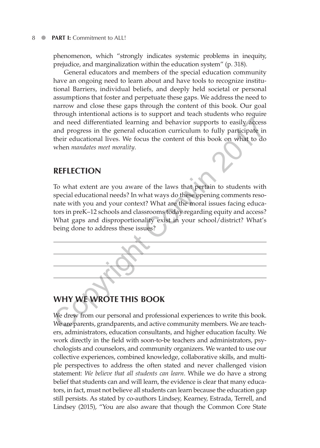phenomenon, which "strongly indicates systemic problems in inequity, prejudice, and marginalization within the education system" (p. 318).

General educators and members of the special education community have an ongoing need to learn about and have tools to recognize institutional Barriers, individual beliefs, and deeply held societal or personal assumptions that foster and perpetuate these gaps. We address the need to narrow and close these gaps through the content of this book. Our goal through intentional actions is to support and teach students who require and need differentiated learning and behavior supports to easily access and progress in the general education curriculum to fully participate in their educational lives. We focus the content of this book on what to do when *mandates meet morality*.

### **REFLECTION**

To what extent are you aware of the laws that pertain to students with special educational needs? In what ways do these opening comments resonate with you and your context? What are the moral issues facing educators in preK–12 schools and classrooms today regarding equity and access? What gaps and disproportionality exist in your school/district? What's being done to address these issues?



# **WHY WE WROTE THIS BOOK**

We drew from our personal and professional experiences to write this book. We are parents, grandparents, and active community members. We are teachers, administrators, education consultants, and higher education faculty. We work directly in the field with soon-to-be teachers and administrators, psychologists and counselors, and community organizers. We wanted to use our collective experiences, combined knowledge, collaborative skills, and multiple perspectives to address the often stated and never challenged vision statement: *We believe that all students can learn*. While we do have a strong belief that students can and will learn, the evidence is clear that many educators, in fact, must not believe all students can learn because the education gap still persists. As stated by co-authors Lindsey, Kearney, Estrada, Terrell, and Lindsey (2015), "You are also aware that though the Common Core State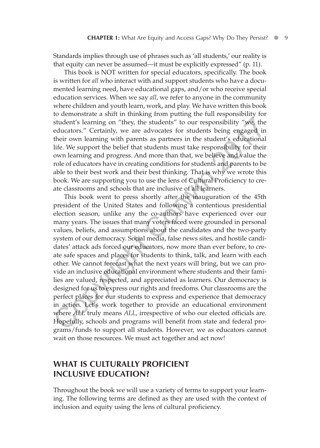Standards implies through use of phrases such as 'all students,' our reality is that equity can never be assumed—it must be explicitly expressed" (p. 11).

This book is NOT written for special educators, specifically. The book is written for *all* who interact with and support students who have a documented learning need, have educational gaps, and/or who receive special education services. When we say *all*, we refer to anyone in the community where children and youth learn, work, and play. We have written this book to demonstrate a shift in thinking from putting the full responsibility for student's learning on "they, the students" to our responsibility "we, the educators." Certainly, we are advocates for students being engaged in their own learning with parents as partners in the student's educational life. We support the belief that students must take responsibility for their own learning and progress. And more than that, we believe and value the role of educators have in creating conditions for students and parents to be able to their best work and their best thinking. That is why we wrote this book. We are supporting you to use the lens of Cultural Proficiency to create classrooms and schools that are inclusive of all learners.

This book went to press shortly after the inauguration of the 45th president of the United States and following a contentious presidential election season, unlike any the co-authors have experienced over our many years. The issues that many voters faced were grounded in personal values, beliefs, and assumptions about the candidates and the two-party system of our democracy. Social media, false news sites, and hostile candidates' attack ads forced our educators, now more than ever before, to create safe spaces and places for students to think, talk, and learn with each other. We cannot forecast what the next years will bring, but we can provide an inclusive educational environment where students and their families are valued, respected, and appreciated as learners. Our democracy is designed for us to express our rights and freedoms. Our classrooms are the perfect places for our students to express and experience that democracy in action. Let's work together to provide an educational environment where *ALL* truly means *ALL*, irrespective of who our elected officials are. Hopefully, schools and programs will benefit from state and federal programs/funds to support all students. However, we as educators cannot wait on those resources. We must act together and act now! student's learning on "they, the students" to our responsibility "we, the educators." Certainly, we are advocates for students being engaged in their own learning with parents as partners in the students beind tailer life

### **WHAT IS CULTURALLY PROFICIENT INCLUSIVE EDUCATION?**

Throughout the book we will use a variety of terms to support your learning. The following terms are defined as they are used with the context of inclusion and equity using the lens of cultural proficiency.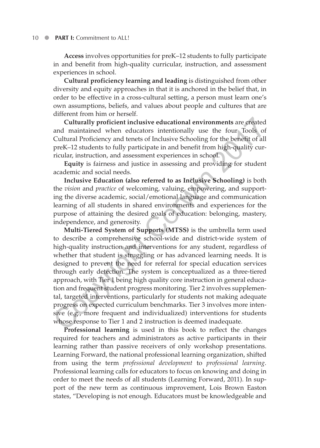**Access** involves opportunities for preK–12 students to fully participate in and benefit from high-quality curricular, instruction, and assessment experiences in school.

**Cultural proficiency learning and leading** is distinguished from other diversity and equity approaches in that it is anchored in the belief that, in order to be effective in a cross-cultural setting, a person must learn one's own assumptions, beliefs, and values about people and cultures that are different from him or herself.

**Culturally proficient inclusive educational environments** are created and maintained when educators intentionally use the four Tools of Cultural Proficiency and tenets of Inclusive Schooling for the benefit of all preK–12 students to fully participate in and benefit from high-quality curricular, instruction, and assessment experiences in school.

**Equity** is fairness and justice in assessing and providing for student academic and social needs.

**Inclusive Education (also referred to as Inclusive Schooling)** is both the *vision* and *practice* of welcoming, valuing, empowering, and supporting the diverse academic, social/emotional language and communication learning of all students in shared environments and experiences for the purpose of attaining the desired goals of education: belonging, mastery, independence, and generosity.

**Multi-Tiered System of Supports (MTSS)** is the umbrella term used to describe a comprehensive school-wide and district-wide system of high-quality instruction and interventions for any student, regardless of whether that student is struggling or has advanced learning needs. It is designed to prevent the need for referral for special education services through early detection. The system is conceptualized as a three-tiered approach, with Tier 1 being high quality core instruction in general education and frequent student progress monitoring. Tier 2 involves supplemental, targeted interventions, particularly for students not making adequate progress on expected curriculum benchmarks. Tier 3 involves more intensive (e.g., more frequent and individualized) interventions for students whose response to Tier 1 and 2 instruction is deemed inadequate. Culturally proficient inclusive educational environments are created<br>and maintained when educators intentionally use the four Tools of<br>Cultural Proficiency and tenets of inclusive Schooling for the benefit of all<br>prefi-12

**Professional learning** is used in this book to reflect the changes required for teachers and administrators as active participants in their learning rather than passive receivers of only workshop presentations. Learning Forward, the national professional learning organization, shifted from using the term *professional development* to *professional learning*. Professional learning calls for educators to focus on knowing and doing in order to meet the needs of all students (Learning Forward, 2011). In support of the new term as continuous improvement, Lois Brown Easton states, "Developing is not enough. Educators must be knowledgeable and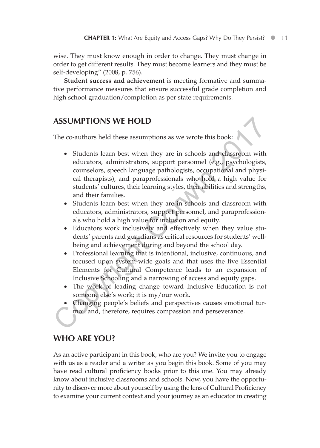wise. They must know enough in order to change. They must change in order to get different results. They must become learners and they must be self-developing" (2008, p. 756).

**Student success and achievement** is meeting formative and summative performance measures that ensure successful grade completion and high school graduation/completion as per state requirements.

### **ASSUMPTIONS WE HOLD**

The co-authors held these assumptions as we wrote this book:

- •• Students learn best when they are in schools and classroom with educators, administrators, support personnel (e.g., psychologists, counselors, speech language pathologists, occupational and physical therapists), and paraprofessionals who hold a high value for students' cultures, their learning styles, their abilities and strengths, and their families. **ASSUMPTIONS WE HOLD**<br>The co-authors held these assumptions as we wrote this book:<br>
• Students learn best when they are in schools and classroom with<br>
educators, administrators, support personnel (e.g., psychologists,<br>
cou
	- •• Students learn best when they are in schools and classroom with educators, administrators, support personnel, and paraprofessionals who hold a high value for inclusion and equity.
	- •• Educators work inclusively and effectively when they value students' parents and guardians as critical resources for students' wellbeing and achievement during and beyond the school day.
	- Professional learning that is intentional, inclusive, continuous, and focused upon system-wide goals and that uses the five Essential Elements for Cultural Competence leads to an expansion of Inclusive Schooling and a narrowing of access and equity gaps.
	- The work of leading change toward Inclusive Education is not someone else's work; it is my/our work.
	- Changing people's beliefs and perspectives causes emotional turmoil and, therefore, requires compassion and perseverance.

## **WHO ARE YOU?**

As an active participant in this book, who are you? We invite you to engage with us as a reader and a writer as you begin this book. Some of you may have read cultural proficiency books prior to this one. You may already know about inclusive classrooms and schools. Now, you have the opportunity to discover more about yourself by using the lens of Cultural Proficiency to examine your current context and your journey as an educator in creating